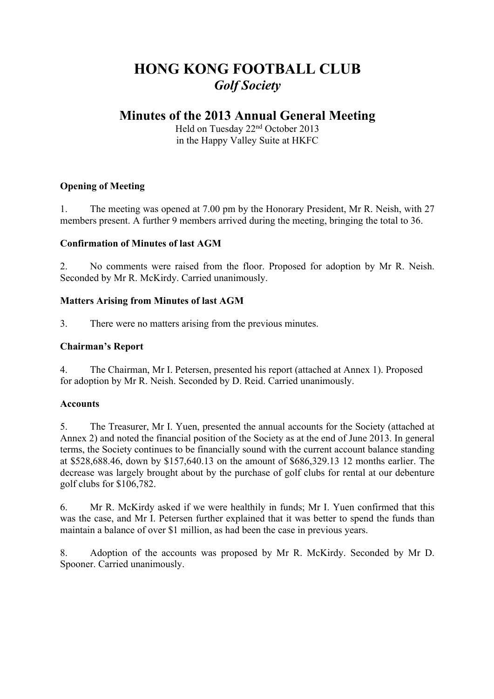# **HONG KONG FOOTBALL CLUB** *Golf Society*

## **Minutes of the 2013 Annual General Meeting**

Held on Tuesday 22nd October 2013 in the Happy Valley Suite at HKFC

## **Opening of Meeting**

1. The meeting was opened at 7.00 pm by the Honorary President, Mr R. Neish, with 27 members present. A further 9 members arrived during the meeting, bringing the total to 36.

## **Confirmation of Minutes of last AGM**

2. No comments were raised from the floor. Proposed for adoption by Mr R. Neish. Seconded by Mr R. McKirdy. Carried unanimously.

## **Matters Arising from Minutes of last AGM**

3. There were no matters arising from the previous minutes.

### **Chairman's Report**

4. The Chairman, Mr I. Petersen, presented his report (attached at Annex 1). Proposed for adoption by Mr R. Neish. Seconded by D. Reid. Carried unanimously.

## **Accounts**

5. The Treasurer, Mr I. Yuen, presented the annual accounts for the Society (attached at Annex 2) and noted the financial position of the Society as at the end of June 2013. In general terms, the Society continues to be financially sound with the current account balance standing at \$528,688.46, down by \$157,640.13 on the amount of \$686,329.13 12 months earlier. The decrease was largely brought about by the purchase of golf clubs for rental at our debenture golf clubs for \$106,782.

6. Mr R. McKirdy asked if we were healthily in funds; Mr I. Yuen confirmed that this was the case, and Mr I. Petersen further explained that it was better to spend the funds than maintain a balance of over \$1 million, as had been the case in previous years.

8. Adoption of the accounts was proposed by Mr R. McKirdy. Seconded by Mr D. Spooner. Carried unanimously.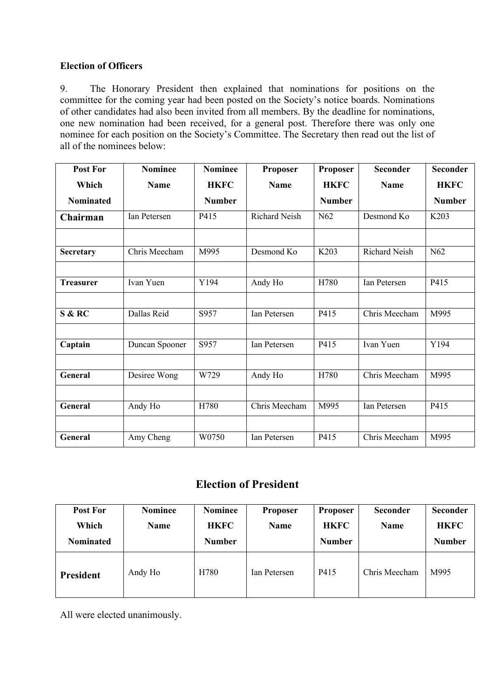### **Election of Officers**

9. The Honorary President then explained that nominations for positions on the committee for the coming year had been posted on the Society's notice boards. Nominations of other candidates had also been invited from all members. By the deadline for nominations, one new nomination had been received, for a general post. Therefore there was only one nominee for each position on the Society's Committee. The Secretary then read out the list of all of the nominees below:

| <b>Post For</b>  | <b>Nominee</b> | <b>Nominee</b> | Proposer             | Proposer      | <b>Seconder</b> | <b>Seconder</b>  |
|------------------|----------------|----------------|----------------------|---------------|-----------------|------------------|
| Which            | <b>Name</b>    | <b>HKFC</b>    | <b>Name</b>          | <b>HKFC</b>   | Name            | <b>HKFC</b>      |
| <b>Nominated</b> |                | <b>Number</b>  |                      | <b>Number</b> |                 | <b>Number</b>    |
| Chairman         | Ian Petersen   | P415           | <b>Richard Neish</b> | N62           | Desmond Ko      | K <sub>203</sub> |
|                  |                |                |                      |               |                 |                  |
| Secretary        | Chris Meecham  | M995           | Desmond Ko           | K203          | Richard Neish   | N62              |
|                  |                |                |                      |               |                 |                  |
| <b>Treasurer</b> | Ivan Yuen      | Y194           | Andy Ho              | H780          | Ian Petersen    | P415             |
|                  |                |                |                      |               |                 |                  |
| S & RC           | Dallas Reid    | S957           | Ian Petersen         | P415          | Chris Meecham   | M995             |
|                  |                |                |                      |               |                 |                  |
| Captain          | Duncan Spooner | S957           | Ian Petersen         | P415          | Ivan Yuen       | Y194             |
|                  |                |                |                      |               |                 |                  |
| <b>General</b>   | Desiree Wong   | W729           | Andy Ho              | H780          | Chris Meecham   | M995             |
|                  |                |                |                      |               |                 |                  |
| General          | Andy Ho        | H780           | Chris Meecham        | M995          | Ian Petersen    | P415             |
|                  |                |                |                      |               |                 |                  |
| <b>General</b>   | Amy Cheng      | W0750          | Ian Petersen         | P415          | Chris Meecham   | M995             |

## **Election of President**

| <b>Post For</b><br>Which<br><b>Nominated</b> | <b>Nominee</b><br>Name | Nominee<br><b>HKFC</b><br><b>Number</b> | <b>Proposer</b><br>Name | <b>Proposer</b><br><b>HKFC</b><br><b>Number</b> | <b>Seconder</b><br>Name | <b>Seconder</b><br><b>HKFC</b><br><b>Number</b> |
|----------------------------------------------|------------------------|-----------------------------------------|-------------------------|-------------------------------------------------|-------------------------|-------------------------------------------------|
| <b>President</b>                             | Andy Ho                | H780                                    | Ian Petersen            | P415                                            | Chris Meecham           | M995                                            |

All were elected unanimously.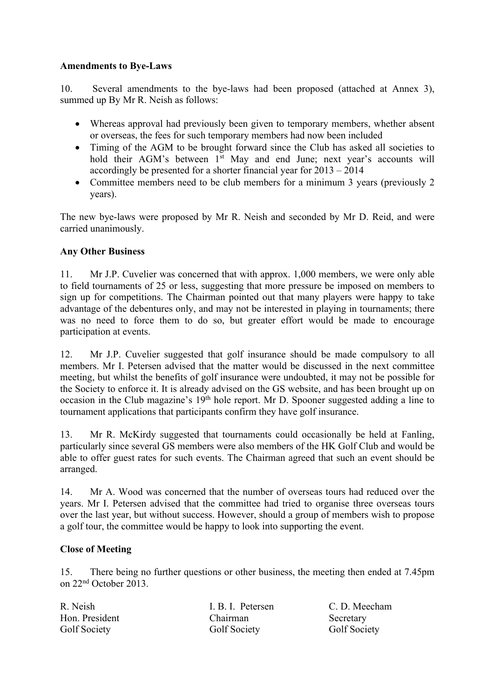### **Amendments to Bye-Laws**

10. Several amendments to the bye-laws had been proposed (attached at Annex 3), summed up By Mr R. Neish as follows:

- Whereas approval had previously been given to temporary members, whether absent or overseas, the fees for such temporary members had now been included
- Timing of the AGM to be brought forward since the Club has asked all societies to hold their AGM's between 1<sup>st</sup> May and end June; next year's accounts will accordingly be presented for a shorter financial year for 2013 – 2014
- Committee members need to be club members for a minimum 3 years (previously 2 years).

The new bye-laws were proposed by Mr R. Neish and seconded by Mr D. Reid, and were carried unanimously.

### **Any Other Business**

11. Mr J.P. Cuvelier was concerned that with approx. 1,000 members, we were only able to field tournaments of 25 or less, suggesting that more pressure be imposed on members to sign up for competitions. The Chairman pointed out that many players were happy to take advantage of the debentures only, and may not be interested in playing in tournaments; there was no need to force them to do so, but greater effort would be made to encourage participation at events.

12. Mr J.P. Cuvelier suggested that golf insurance should be made compulsory to all members. Mr I. Petersen advised that the matter would be discussed in the next committee meeting, but whilst the benefits of golf insurance were undoubted, it may not be possible for the Society to enforce it. It is already advised on the GS website, and has been brought up on occasion in the Club magazine's 19th hole report. Mr D. Spooner suggested adding a line to tournament applications that participants confirm they have golf insurance.

13. Mr R. McKirdy suggested that tournaments could occasionally be held at Fanling, particularly since several GS members were also members of the HK Golf Club and would be able to offer guest rates for such events. The Chairman agreed that such an event should be arranged.

14. Mr A. Wood was concerned that the number of overseas tours had reduced over the years. Mr I. Petersen advised that the committee had tried to organise three overseas tours over the last year, but without success. However, should a group of members wish to propose a golf tour, the committee would be happy to look into supporting the event.

### **Close of Meeting**

15. There being no further questions or other business, the meeting then ended at 7.45pm on 22nd October 2013.

R. Neish I. B. I. Petersen C. D. Meecham Hon. President Chairman Secretary Golf Society Golf Society Golf Society Golf Society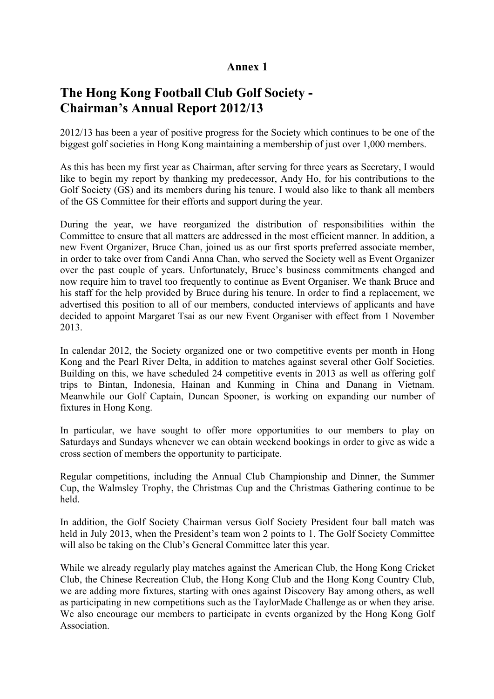## **Annex 1**

## **The Hong Kong Football Club Golf Society - Chairman's Annual Report 2012/13**

2012/13 has been a year of positive progress for the Society which continues to be one of the biggest golf societies in Hong Kong maintaining a membership of just over 1,000 members.

As this has been my first year as Chairman, after serving for three years as Secretary, I would like to begin my report by thanking my predecessor, Andy Ho, for his contributions to the Golf Society (GS) and its members during his tenure. I would also like to thank all members of the GS Committee for their efforts and support during the year.

During the year, we have reorganized the distribution of responsibilities within the Committee to ensure that all matters are addressed in the most efficient manner. In addition, a new Event Organizer, Bruce Chan, joined us as our first sports preferred associate member, in order to take over from Candi Anna Chan, who served the Society well as Event Organizer over the past couple of years. Unfortunately, Bruce's business commitments changed and now require him to travel too frequently to continue as Event Organiser. We thank Bruce and his staff for the help provided by Bruce during his tenure. In order to find a replacement, we advertised this position to all of our members, conducted interviews of applicants and have decided to appoint Margaret Tsai as our new Event Organiser with effect from 1 November 2013.

In calendar 2012, the Society organized one or two competitive events per month in Hong Kong and the Pearl River Delta, in addition to matches against several other Golf Societies. Building on this, we have scheduled 24 competitive events in 2013 as well as offering golf trips to Bintan, Indonesia, Hainan and Kunming in China and Danang in Vietnam. Meanwhile our Golf Captain, Duncan Spooner, is working on expanding our number of fixtures in Hong Kong.

In particular, we have sought to offer more opportunities to our members to play on Saturdays and Sundays whenever we can obtain weekend bookings in order to give as wide a cross section of members the opportunity to participate.

Regular competitions, including the Annual Club Championship and Dinner, the Summer Cup, the Walmsley Trophy, the Christmas Cup and the Christmas Gathering continue to be held.

In addition, the Golf Society Chairman versus Golf Society President four ball match was held in July 2013, when the President's team won 2 points to 1. The Golf Society Committee will also be taking on the Club's General Committee later this year.

While we already regularly play matches against the American Club, the Hong Kong Cricket Club, the Chinese Recreation Club, the Hong Kong Club and the Hong Kong Country Club, we are adding more fixtures, starting with ones against Discovery Bay among others, as well as participating in new competitions such as the TaylorMade Challenge as or when they arise. We also encourage our members to participate in events organized by the Hong Kong Golf Association.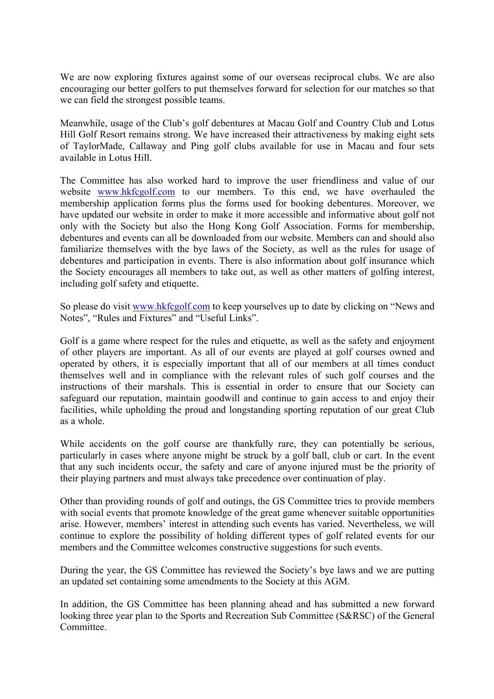We are now exploring fixtures against some of our overseas reciprocal clubs. We are also encouraging our better golfers to put themselves forward for selection for our matches so that we can field the strongest possible teams.

Meanwhile, usage of the Club's golf debentures at Macau Golf and Country Club and Lotus Hill Golf Resort remains strong. We have increased their attractiveness by making eight sets of TaylorMade, Callaway and Ping golf clubs available for use in Macau and four sets available in Lotus Hill.

The Committee has also worked hard to improve the user friendliness and value of our website www.hkfcgolf.com to our members. To this end, we have overhauled the membership application forms plus the forms used for booking debentures. Moreover, we have updated our website in order to make it more accessible and informative about golf not only with the Society but also the Hong Kong Golf Association. Forms for membership, debentures and events can all be downloaded from our website. Members can and should also familiarize themselves with the bye laws of the Society, as well as the rules for usage of debentures and participation in events. There is also information about golf insurance which the Society encourages all members to take out, as well as other matters of golfing interest, including golf safety and etiquette.

So please do visit www.hkfcgolf.com to keep yourselves up to date by clicking on "News and Notes", "Rules and Fixtures" and "Useful Links".

Golf is a game where respect for the rules and etiquette, as well as the safety and enjoyment of other players are important. As all of our events are played at golf courses owned and operated by others, it is especially important that all of our members at all times conduct themselves well and in compliance with the relevant rules of such golf courses and the instructions of their marshals. This is essential in order to ensure that our Society can safeguard our reputation, maintain goodwill and continue to gain access to and enjoy their facilities, while upholding the proud and longstanding sporting reputation of our great Club as a whole.

While accidents on the golf course are thankfully rare, they can potentially be serious, particularly in cases where anyone might be struck by a golf ball, club or cart. In the event that any such incidents occur, the safety and care of anyone injured must be the priority of their playing partners and must always take precedence over continuation of play.

Other than providing rounds of golf and outings, the GS Committee tries to provide members with social events that promote knowledge of the great game whenever suitable opportunities arise. However, members' interest in attending such events has varied. Nevertheless, we will continue to explore the possibility of holding different types of golf related events for our members and the Committee welcomes constructive suggestions for such events.

During the year, the GS Committee has reviewed the Society's bye laws and we are putting an updated set containing some amendments to the Society at this AGM.

In addition, the GS Committee has been planning ahead and has submitted a new forward looking three year plan to the Sports and Recreation Sub Committee (S&RSC) of the General Committee.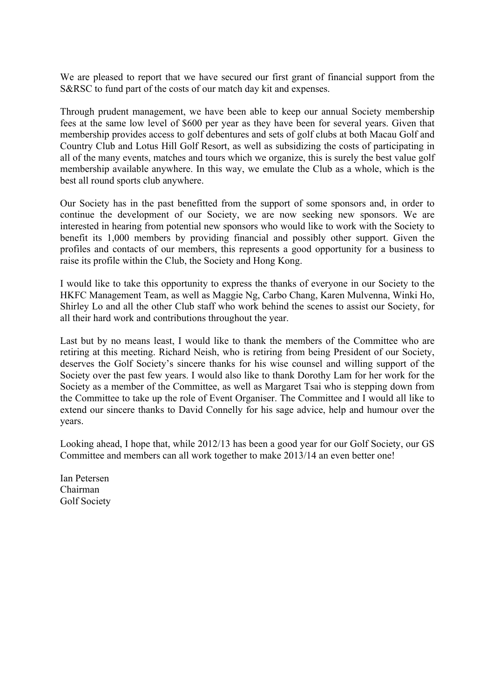We are pleased to report that we have secured our first grant of financial support from the S&RSC to fund part of the costs of our match day kit and expenses.

Through prudent management, we have been able to keep our annual Society membership fees at the same low level of \$600 per year as they have been for several years. Given that membership provides access to golf debentures and sets of golf clubs at both Macau Golf and Country Club and Lotus Hill Golf Resort, as well as subsidizing the costs of participating in all of the many events, matches and tours which we organize, this is surely the best value golf membership available anywhere. In this way, we emulate the Club as a whole, which is the best all round sports club anywhere.

Our Society has in the past benefitted from the support of some sponsors and, in order to continue the development of our Society, we are now seeking new sponsors. We are interested in hearing from potential new sponsors who would like to work with the Society to benefit its 1,000 members by providing financial and possibly other support. Given the profiles and contacts of our members, this represents a good opportunity for a business to raise its profile within the Club, the Society and Hong Kong.

I would like to take this opportunity to express the thanks of everyone in our Society to the HKFC Management Team, as well as Maggie Ng, Carbo Chang, Karen Mulvenna, Winki Ho, Shirley Lo and all the other Club staff who work behind the scenes to assist our Society, for all their hard work and contributions throughout the year.

Last but by no means least, I would like to thank the members of the Committee who are retiring at this meeting. Richard Neish, who is retiring from being President of our Society, deserves the Golf Society's sincere thanks for his wise counsel and willing support of the Society over the past few years. I would also like to thank Dorothy Lam for her work for the Society as a member of the Committee, as well as Margaret Tsai who is stepping down from the Committee to take up the role of Event Organiser. The Committee and I would all like to extend our sincere thanks to David Connelly for his sage advice, help and humour over the years.

Looking ahead, I hope that, while 2012/13 has been a good year for our Golf Society, our GS Committee and members can all work together to make 2013/14 an even better one!

Ian Petersen Chairman Golf Society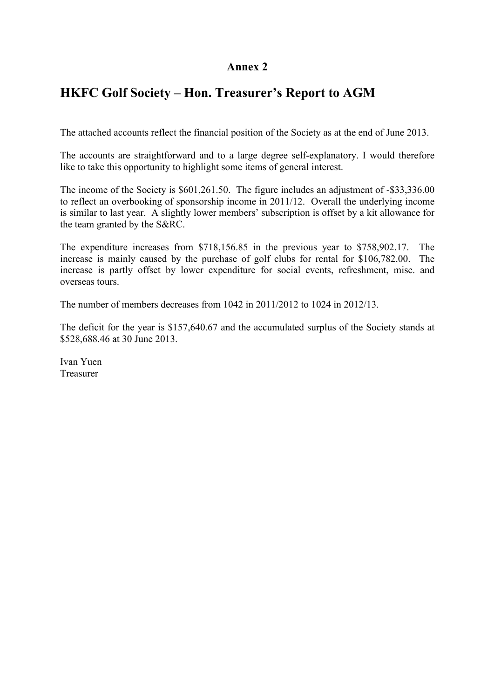## **Annex 2**

## **HKFC Golf Society – Hon. Treasurer's Report to AGM**

The attached accounts reflect the financial position of the Society as at the end of June 2013.

The accounts are straightforward and to a large degree self-explanatory. I would therefore like to take this opportunity to highlight some items of general interest.

The income of the Society is \$601,261.50. The figure includes an adjustment of -\$33,336.00 to reflect an overbooking of sponsorship income in 2011/12. Overall the underlying income is similar to last year. A slightly lower members' subscription is offset by a kit allowance for the team granted by the S&RC.

The expenditure increases from \$718,156.85 in the previous year to \$758,902.17. The increase is mainly caused by the purchase of golf clubs for rental for \$106,782.00. The increase is partly offset by lower expenditure for social events, refreshment, misc. and overseas tours.

The number of members decreases from 1042 in 2011/2012 to 1024 in 2012/13.

The deficit for the year is \$157,640.67 and the accumulated surplus of the Society stands at \$528,688.46 at 30 June 2013.

Ivan Yuen Treasurer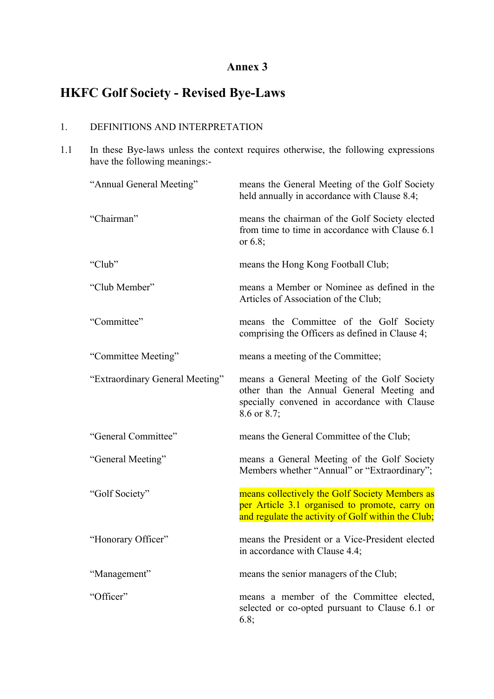## **Annex 3**

# **HKFC Golf Society - Revised Bye-Laws**

## 1. DEFINITIONS AND INTERPRETATION

1.1 In these Bye-laws unless the context requires otherwise, the following expressions have the following meanings:-

| "Annual General Meeting"        | means the General Meeting of the Golf Society<br>held annually in accordance with Clause 8.4;                                                           |
|---------------------------------|---------------------------------------------------------------------------------------------------------------------------------------------------------|
| "Chairman"                      | means the chairman of the Golf Society elected<br>from time to time in accordance with Clause 6.1<br>or $6.8$ ;                                         |
| "Club"                          | means the Hong Kong Football Club;                                                                                                                      |
| "Club Member"                   | means a Member or Nominee as defined in the<br>Articles of Association of the Club;                                                                     |
| "Committee"                     | means the Committee of the Golf Society<br>comprising the Officers as defined in Clause 4;                                                              |
| "Committee Meeting"             | means a meeting of the Committee;                                                                                                                       |
| "Extraordinary General Meeting" | means a General Meeting of the Golf Society<br>other than the Annual General Meeting and<br>specially convened in accordance with Clause<br>8.6 or 8.7; |
| "General Committee"             | means the General Committee of the Club;                                                                                                                |
| "General Meeting"               | means a General Meeting of the Golf Society<br>Members whether "Annual" or "Extraordinary";                                                             |
| "Golf Society"                  | means collectively the Golf Society Members as<br>per Article 3.1 organised to promote, carry on<br>and regulate the activity of Golf within the Club;  |
| "Honorary Officer"              | means the President or a Vice-President elected<br>in accordance with Clause 4.4;                                                                       |
| "Management"                    | means the senior managers of the Club;                                                                                                                  |
| "Officer"                       | means a member of the Committee elected,<br>selected or co-opted pursuant to Clause 6.1 or<br>6.8;                                                      |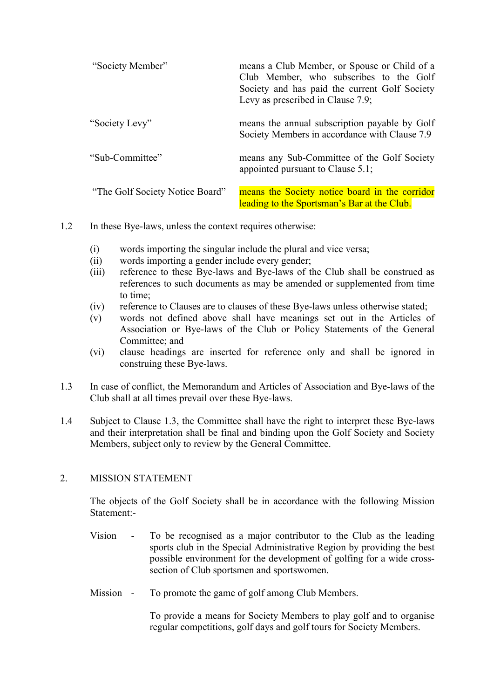| "Society Member"                | means a Club Member, or Spouse or Child of a<br>Club Member, who subscribes to the Golf<br>Society and has paid the current Golf Society<br>Levy as prescribed in Clause 7.9; |
|---------------------------------|-------------------------------------------------------------------------------------------------------------------------------------------------------------------------------|
| "Society Levy"                  | means the annual subscription payable by Golf<br>Society Members in accordance with Clause 7.9                                                                                |
| "Sub-Committee"                 | means any Sub-Committee of the Golf Society<br>appointed pursuant to Clause 5.1;                                                                                              |
| "The Golf Society Notice Board" | means the Society notice board in the corridor<br>leading to the Sportsman's Bar at the Club.                                                                                 |

- 1.2 In these Bye-laws, unless the context requires otherwise:
	- (i) words importing the singular include the plural and vice versa;
	- (ii) words importing a gender include every gender;
	- (iii) reference to these Bye-laws and Bye-laws of the Club shall be construed as references to such documents as may be amended or supplemented from time to time;
	- (iv) reference to Clauses are to clauses of these Bye-laws unless otherwise stated;
	- (v) words not defined above shall have meanings set out in the Articles of Association or Bye-laws of the Club or Policy Statements of the General Committee; and
	- (vi) clause headings are inserted for reference only and shall be ignored in construing these Bye-laws.
- 1.3 In case of conflict, the Memorandum and Articles of Association and Bye-laws of the Club shall at all times prevail over these Bye-laws.
- 1.4 Subject to Clause 1.3, the Committee shall have the right to interpret these Bye-laws and their interpretation shall be final and binding upon the Golf Society and Society Members, subject only to review by the General Committee.

### 2. MISSION STATEMENT

The objects of the Golf Society shall be in accordance with the following Mission Statement:-

- Vision To be recognised as a major contributor to the Club as the leading sports club in the Special Administrative Region by providing the best possible environment for the development of golfing for a wide crosssection of Club sportsmen and sportswomen.
- Mission To promote the game of golf among Club Members.

To provide a means for Society Members to play golf and to organise regular competitions, golf days and golf tours for Society Members.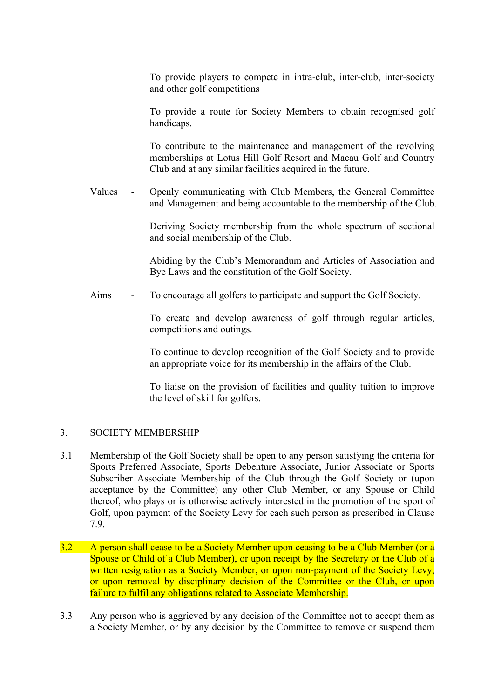To provide players to compete in intra-club, inter-club, inter-society and other golf competitions

To provide a route for Society Members to obtain recognised golf handicaps.

To contribute to the maintenance and management of the revolving memberships at Lotus Hill Golf Resort and Macau Golf and Country Club and at any similar facilities acquired in the future.

Values - Openly communicating with Club Members, the General Committee and Management and being accountable to the membership of the Club.

> Deriving Society membership from the whole spectrum of sectional and social membership of the Club.

> Abiding by the Club's Memorandum and Articles of Association and Bye Laws and the constitution of the Golf Society.

Aims - To encourage all golfers to participate and support the Golf Society.

To create and develop awareness of golf through regular articles, competitions and outings.

To continue to develop recognition of the Golf Society and to provide an appropriate voice for its membership in the affairs of the Club.

To liaise on the provision of facilities and quality tuition to improve the level of skill for golfers.

### 3. SOCIETY MEMBERSHIP

- 3.1 Membership of the Golf Society shall be open to any person satisfying the criteria for Sports Preferred Associate, Sports Debenture Associate, Junior Associate or Sports Subscriber Associate Membership of the Club through the Golf Society or (upon acceptance by the Committee) any other Club Member, or any Spouse or Child thereof, who plays or is otherwise actively interested in the promotion of the sport of Golf, upon payment of the Society Levy for each such person as prescribed in Clause 7.9.
- 3.2 A person shall cease to be a Society Member upon ceasing to be a Club Member (or a Spouse or Child of a Club Member), or upon receipt by the Secretary or the Club of a written resignation as a Society Member, or upon non-payment of the Society Levy, or upon removal by disciplinary decision of the Committee or the Club, or upon failure to fulfil any obligations related to Associate Membership.
- 3.3 Any person who is aggrieved by any decision of the Committee not to accept them as a Society Member, or by any decision by the Committee to remove or suspend them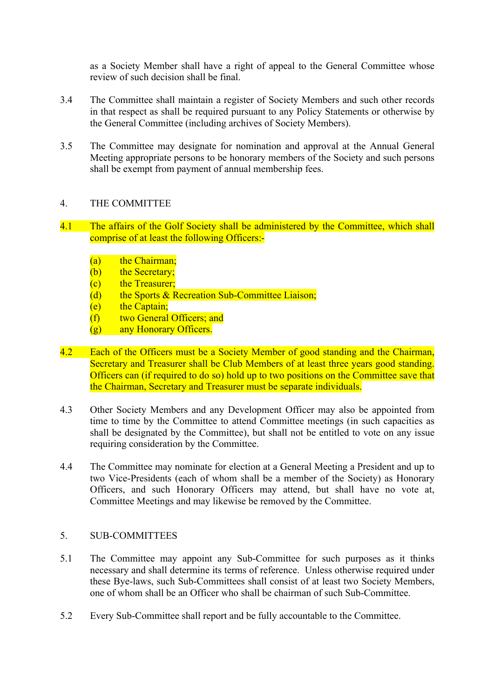as a Society Member shall have a right of appeal to the General Committee whose review of such decision shall be final.

- 3.4 The Committee shall maintain a register of Society Members and such other records in that respect as shall be required pursuant to any Policy Statements or otherwise by the General Committee (including archives of Society Members).
- 3.5 The Committee may designate for nomination and approval at the Annual General Meeting appropriate persons to be honorary members of the Society and such persons shall be exempt from payment of annual membership fees.

### 4. THE COMMITTEE

- 4.1 The affairs of the Golf Society shall be administered by the Committee, which shall comprise of at least the following Officers:-
	- (a) the Chairman:
	- (b) the Secretary:
	- (c) the Treasurer;
	- (d) the Sports & Recreation Sub-Committee Liaison;
	- $(e)$  the Captain;
	- (f) two General Officers; and
	- (g) any Honorary Officers.
- 4.2 Each of the Officers must be a Society Member of good standing and the Chairman, Secretary and Treasurer shall be Club Members of at least three years good standing. Officers can (if required to do so) hold up to two positions on the Committee save that the Chairman, Secretary and Treasurer must be separate individuals.
- 4.3 Other Society Members and any Development Officer may also be appointed from time to time by the Committee to attend Committee meetings (in such capacities as shall be designated by the Committee), but shall not be entitled to vote on any issue requiring consideration by the Committee.
- 4.4 The Committee may nominate for election at a General Meeting a President and up to two Vice-Presidents (each of whom shall be a member of the Society) as Honorary Officers, and such Honorary Officers may attend, but shall have no vote at, Committee Meetings and may likewise be removed by the Committee.

#### 5. SUB-COMMITTEES

- 5.1 The Committee may appoint any Sub-Committee for such purposes as it thinks necessary and shall determine its terms of reference. Unless otherwise required under these Bye-laws, such Sub-Committees shall consist of at least two Society Members, one of whom shall be an Officer who shall be chairman of such Sub-Committee.
- 5.2 Every Sub-Committee shall report and be fully accountable to the Committee.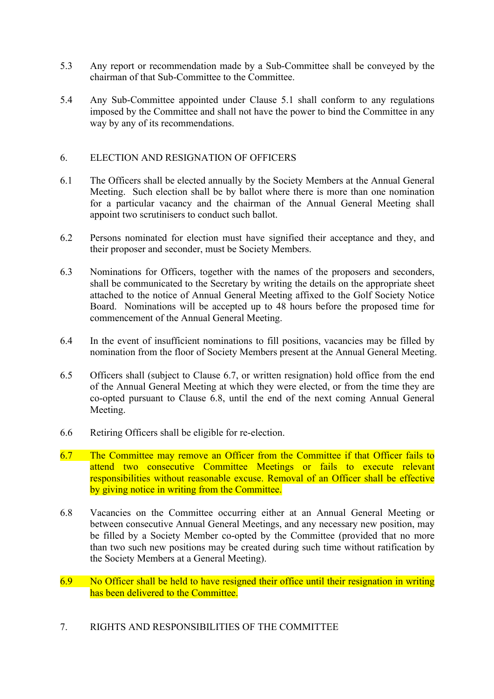- 5.3 Any report or recommendation made by a Sub-Committee shall be conveyed by the chairman of that Sub-Committee to the Committee.
- 5.4 Any Sub-Committee appointed under Clause 5.1 shall conform to any regulations imposed by the Committee and shall not have the power to bind the Committee in any way by any of its recommendations.

### 6. ELECTION AND RESIGNATION OF OFFICERS

- 6.1 The Officers shall be elected annually by the Society Members at the Annual General Meeting. Such election shall be by ballot where there is more than one nomination for a particular vacancy and the chairman of the Annual General Meeting shall appoint two scrutinisers to conduct such ballot.
- 6.2 Persons nominated for election must have signified their acceptance and they, and their proposer and seconder, must be Society Members.
- 6.3 Nominations for Officers, together with the names of the proposers and seconders, shall be communicated to the Secretary by writing the details on the appropriate sheet attached to the notice of Annual General Meeting affixed to the Golf Society Notice Board. Nominations will be accepted up to 48 hours before the proposed time for commencement of the Annual General Meeting.
- 6.4 In the event of insufficient nominations to fill positions, vacancies may be filled by nomination from the floor of Society Members present at the Annual General Meeting.
- 6.5 Officers shall (subject to Clause 6.7, or written resignation) hold office from the end of the Annual General Meeting at which they were elected, or from the time they are co-opted pursuant to Clause 6.8, until the end of the next coming Annual General Meeting.
- 6.6 Retiring Officers shall be eligible for re-election.
- 6.7 The Committee may remove an Officer from the Committee if that Officer fails to attend two consecutive Committee Meetings or fails to execute relevant responsibilities without reasonable excuse. Removal of an Officer shall be effective by giving notice in writing from the Committee.
- 6.8 Vacancies on the Committee occurring either at an Annual General Meeting or between consecutive Annual General Meetings, and any necessary new position, may be filled by a Society Member co-opted by the Committee (provided that no more than two such new positions may be created during such time without ratification by the Society Members at a General Meeting).
- 6.9 No Officer shall be held to have resigned their office until their resignation in writing has been delivered to the Committee.
- 7. RIGHTS AND RESPONSIBILITIES OF THE COMMITTEE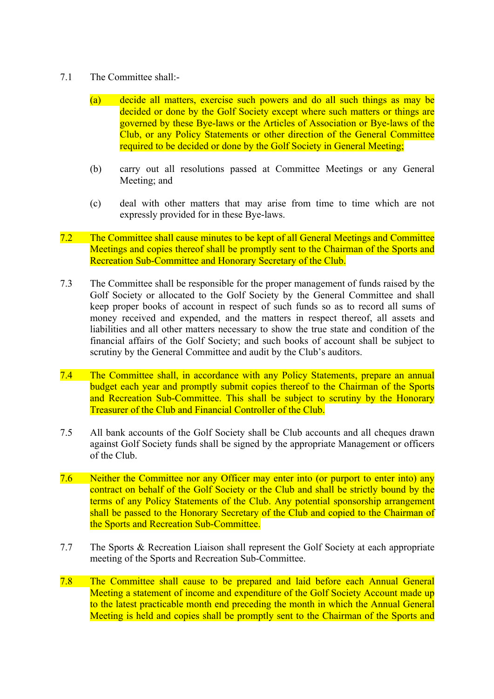- 7.1 The Committee shall:-
	- (a) decide all matters, exercise such powers and do all such things as may be decided or done by the Golf Society except where such matters or things are governed by these Bye-laws or the Articles of Association or Bye-laws of the Club, or any Policy Statements or other direction of the General Committee required to be decided or done by the Golf Society in General Meeting;
	- (b) carry out all resolutions passed at Committee Meetings or any General Meeting; and
	- (c) deal with other matters that may arise from time to time which are not expressly provided for in these Bye-laws.
- 7.2 The Committee shall cause minutes to be kept of all General Meetings and Committee Meetings and copies thereof shall be promptly sent to the Chairman of the Sports and Recreation Sub-Committee and Honorary Secretary of the Club.
- 7.3 The Committee shall be responsible for the proper management of funds raised by the Golf Society or allocated to the Golf Society by the General Committee and shall keep proper books of account in respect of such funds so as to record all sums of money received and expended, and the matters in respect thereof, all assets and liabilities and all other matters necessary to show the true state and condition of the financial affairs of the Golf Society; and such books of account shall be subject to scrutiny by the General Committee and audit by the Club's auditors.
- 7.4 The Committee shall, in accordance with any Policy Statements, prepare an annual budget each year and promptly submit copies thereof to the Chairman of the Sports and Recreation Sub-Committee. This shall be subject to scrutiny by the Honorary Treasurer of the Club and Financial Controller of the Club.
- 7.5 All bank accounts of the Golf Society shall be Club accounts and all cheques drawn against Golf Society funds shall be signed by the appropriate Management or officers of the Club.
- 7.6 Neither the Committee nor any Officer may enter into (or purport to enter into) any contract on behalf of the Golf Society or the Club and shall be strictly bound by the terms of any Policy Statements of the Club. Any potential sponsorship arrangement shall be passed to the Honorary Secretary of the Club and copied to the Chairman of the Sports and Recreation Sub-Committee.
- 7.7 The Sports & Recreation Liaison shall represent the Golf Society at each appropriate meeting of the Sports and Recreation Sub-Committee.
- 7.8 The Committee shall cause to be prepared and laid before each Annual General Meeting a statement of income and expenditure of the Golf Society Account made up to the latest practicable month end preceding the month in which the Annual General Meeting is held and copies shall be promptly sent to the Chairman of the Sports and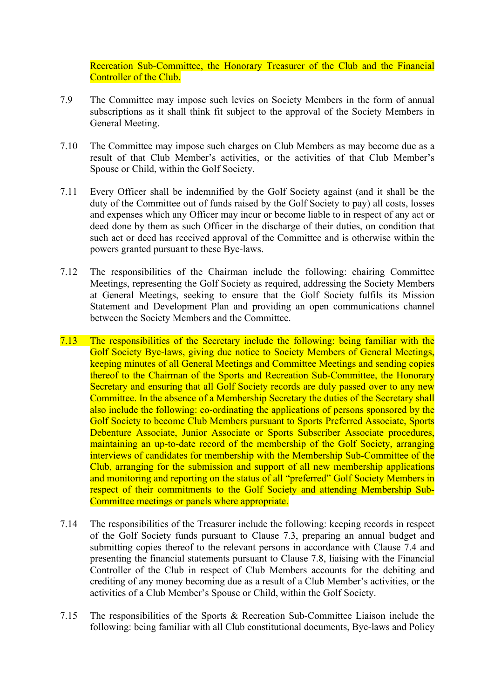Recreation Sub-Committee, the Honorary Treasurer of the Club and the Financial Controller of the Club.

- 7.9 The Committee may impose such levies on Society Members in the form of annual subscriptions as it shall think fit subject to the approval of the Society Members in General Meeting.
- 7.10 The Committee may impose such charges on Club Members as may become due as a result of that Club Member's activities, or the activities of that Club Member's Spouse or Child, within the Golf Society.
- 7.11 Every Officer shall be indemnified by the Golf Society against (and it shall be the duty of the Committee out of funds raised by the Golf Society to pay) all costs, losses and expenses which any Officer may incur or become liable to in respect of any act or deed done by them as such Officer in the discharge of their duties, on condition that such act or deed has received approval of the Committee and is otherwise within the powers granted pursuant to these Bye-laws.
- 7.12 The responsibilities of the Chairman include the following: chairing Committee Meetings, representing the Golf Society as required, addressing the Society Members at General Meetings, seeking to ensure that the Golf Society fulfils its Mission Statement and Development Plan and providing an open communications channel between the Society Members and the Committee.
- 7.13 The responsibilities of the Secretary include the following: being familiar with the Golf Society Bye-laws, giving due notice to Society Members of General Meetings, keeping minutes of all General Meetings and Committee Meetings and sending copies thereof to the Chairman of the Sports and Recreation Sub-Committee, the Honorary Secretary and ensuring that all Golf Society records are duly passed over to any new Committee. In the absence of a Membership Secretary the duties of the Secretary shall also include the following: co-ordinating the applications of persons sponsored by the Golf Society to become Club Members pursuant to Sports Preferred Associate, Sports Debenture Associate, Junior Associate or Sports Subscriber Associate procedures, maintaining an up-to-date record of the membership of the Golf Society, arranging interviews of candidates for membership with the Membership Sub-Committee of the Club, arranging for the submission and support of all new membership applications and monitoring and reporting on the status of all "preferred" Golf Society Members in respect of their commitments to the Golf Society and attending Membership Sub-Committee meetings or panels where appropriate.
- 7.14 The responsibilities of the Treasurer include the following: keeping records in respect of the Golf Society funds pursuant to Clause 7.3, preparing an annual budget and submitting copies thereof to the relevant persons in accordance with Clause 7.4 and presenting the financial statements pursuant to Clause 7.8, liaising with the Financial Controller of the Club in respect of Club Members accounts for the debiting and crediting of any money becoming due as a result of a Club Member's activities, or the activities of a Club Member's Spouse or Child, within the Golf Society.
- 7.15 The responsibilities of the Sports & Recreation Sub-Committee Liaison include the following: being familiar with all Club constitutional documents, Bye-laws and Policy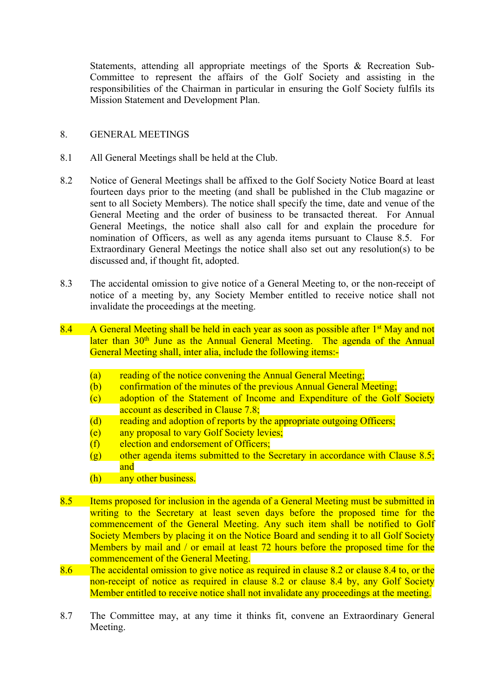Statements, attending all appropriate meetings of the Sports & Recreation Sub-Committee to represent the affairs of the Golf Society and assisting in the responsibilities of the Chairman in particular in ensuring the Golf Society fulfils its Mission Statement and Development Plan.

### 8. GENERAL MEETINGS

- 8.1 All General Meetings shall be held at the Club.
- 8.2 Notice of General Meetings shall be affixed to the Golf Society Notice Board at least fourteen days prior to the meeting (and shall be published in the Club magazine or sent to all Society Members). The notice shall specify the time, date and venue of the General Meeting and the order of business to be transacted thereat. For Annual General Meetings, the notice shall also call for and explain the procedure for nomination of Officers, as well as any agenda items pursuant to Clause 8.5. For Extraordinary General Meetings the notice shall also set out any resolution(s) to be discussed and, if thought fit, adopted.
- 8.3 The accidental omission to give notice of a General Meeting to, or the non-receipt of notice of a meeting by, any Society Member entitled to receive notice shall not invalidate the proceedings at the meeting.
- 8.4 A General Meeting shall be held in each year as soon as possible after  $1<sup>st</sup>$  May and not later than 30<sup>th</sup> June as the Annual General Meeting. The agenda of the Annual General Meeting shall, inter alia, include the following items:-
	- (a) reading of the notice convening the Annual General Meeting;
	- (b) confirmation of the minutes of the previous Annual General Meeting;
	- (c) adoption of the Statement of Income and Expenditure of the Golf Society account as described in Clause 7.8;
	- (d) reading and adoption of reports by the appropriate outgoing Officers;
	- (e) any proposal to vary Golf Society levies;
	- $(f)$  election and endorsement of Officers;
	- $(g)$  other agenda items submitted to the Secretary in accordance with Clause 8.5; and
	- (h) any other business.
- 8.5 Items proposed for inclusion in the agenda of a General Meeting must be submitted in writing to the Secretary at least seven days before the proposed time for the commencement of the General Meeting. Any such item shall be notified to Golf Society Members by placing it on the Notice Board and sending it to all Golf Society Members by mail and / or email at least 72 hours before the proposed time for the commencement of the General Meeting.
- 8.6 The accidental omission to give notice as required in clause 8.2 or clause 8.4 to, or the non-receipt of notice as required in clause 8.2 or clause 8.4 by, any Golf Society Member entitled to receive notice shall not invalidate any proceedings at the meeting.
- 8.7 The Committee may, at any time it thinks fit, convene an Extraordinary General Meeting.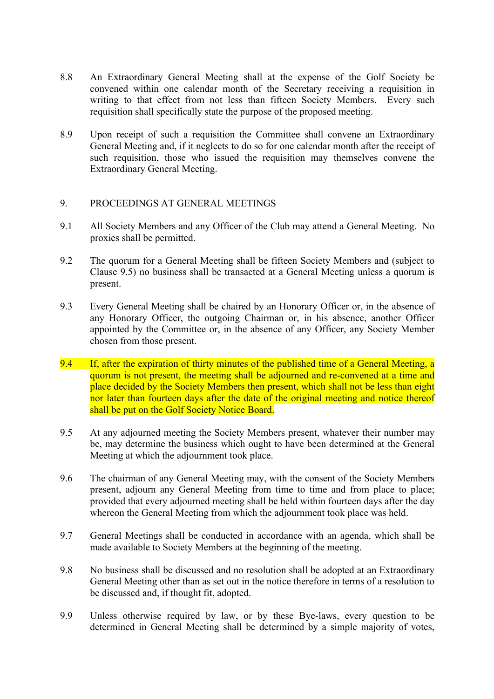- 8.8 An Extraordinary General Meeting shall at the expense of the Golf Society be convened within one calendar month of the Secretary receiving a requisition in writing to that effect from not less than fifteen Society Members. Every such requisition shall specifically state the purpose of the proposed meeting.
- 8.9 Upon receipt of such a requisition the Committee shall convene an Extraordinary General Meeting and, if it neglects to do so for one calendar month after the receipt of such requisition, those who issued the requisition may themselves convene the Extraordinary General Meeting.

### 9. PROCEEDINGS AT GENERAL MEETINGS

- 9.1 All Society Members and any Officer of the Club may attend a General Meeting. No proxies shall be permitted.
- 9.2 The quorum for a General Meeting shall be fifteen Society Members and (subject to Clause 9.5) no business shall be transacted at a General Meeting unless a quorum is present.
- 9.3 Every General Meeting shall be chaired by an Honorary Officer or, in the absence of any Honorary Officer, the outgoing Chairman or, in his absence, another Officer appointed by the Committee or, in the absence of any Officer, any Society Member chosen from those present.
- 9.4 If, after the expiration of thirty minutes of the published time of a General Meeting, a quorum is not present, the meeting shall be adjourned and re-convened at a time and place decided by the Society Members then present, which shall not be less than eight nor later than fourteen days after the date of the original meeting and notice thereof shall be put on the Golf Society Notice Board.
- 9.5 At any adjourned meeting the Society Members present, whatever their number may be, may determine the business which ought to have been determined at the General Meeting at which the adjournment took place.
- 9.6 The chairman of any General Meeting may, with the consent of the Society Members present, adjourn any General Meeting from time to time and from place to place; provided that every adjourned meeting shall be held within fourteen days after the day whereon the General Meeting from which the adjournment took place was held.
- 9.7 General Meetings shall be conducted in accordance with an agenda, which shall be made available to Society Members at the beginning of the meeting.
- 9.8 No business shall be discussed and no resolution shall be adopted at an Extraordinary General Meeting other than as set out in the notice therefore in terms of a resolution to be discussed and, if thought fit, adopted.
- 9.9 Unless otherwise required by law, or by these Bye-laws, every question to be determined in General Meeting shall be determined by a simple majority of votes,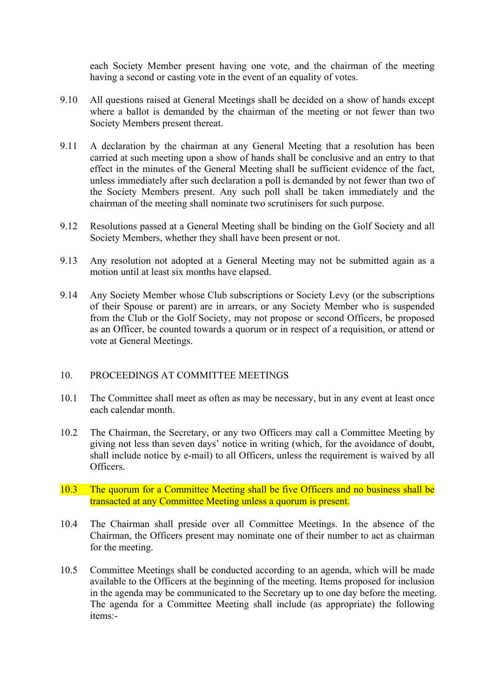each Society Member present having one vote, and the chairman of the meeting having a second or casting vote in the event of an equality of votes.

- 9.10 All questions raised at General Meetings shall be decided on a show of hands except where a ballot is demanded by the chairman of the meeting or not fewer than two Society Members present thereat.
- 9.11 A declaration by the chairman at any General Meeting that a resolution has been carried at such meeting upon a show of hands shall be conclusive and an entry to that effect in the minutes of the General Meeting shall be sufficient evidence of the fact, unless immediately after such declaration a poll is demanded by not fewer than two of the Society Members present. Any such poll shall be taken immediately and the chairman of the meeting shall nominate two scrutinisers for such purpose.
- 9.12 Resolutions passed at a General Meeting shall be binding on the Golf Society and all Society Members, whether they shall have been present or not.
- 9.13 Any resolution not adopted at a General Meeting may not be submitted again as a motion until at least six months have elapsed.
- 9.14 Any Society Member whose Club subscriptions or Society Levy (or the subscriptions of their Spouse or parent) are in arrears, or any Society Member who is suspended from the Club or the Golf Society, may not propose or second Officers, be proposed as an Officer, be counted towards a quorum or in respect of a requisition, or attend or vote at General Meetings.

#### 10. PROCEEDINGS AT COMMITTEE MEETINGS

- 10.1 The Committee shall meet as often as may be necessary, but in any event at least once each calendar month.
- 10.2 The Chairman, the Secretary, or any two Officers may call a Committee Meeting by giving not less than seven days' notice in writing (which, for the avoidance of doubt, shall include notice by e-mail) to all Officers, unless the requirement is waived by all Officers.
- 10.3 The quorum for a Committee Meeting shall be five Officers and no business shall be transacted at any Committee Meeting unless a quorum is present.
- 10.4 The Chairman shall preside over all Committee Meetings. In the absence of the Chairman, the Officers present may nominate one of their number to act as chairman for the meeting.
- 10.5 Committee Meetings shall be conducted according to an agenda, which will be made available to the Officers at the beginning of the meeting. Items proposed for inclusion in the agenda may be communicated to the Secretary up to one day before the meeting. The agenda for a Committee Meeting shall include (as appropriate) the following items:-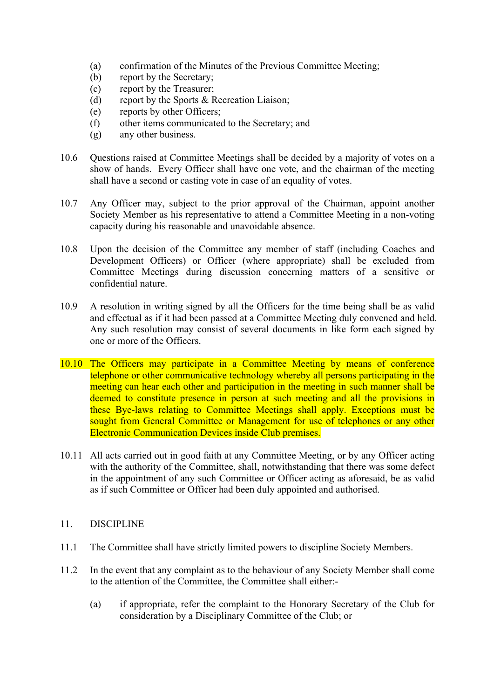- (a) confirmation of the Minutes of the Previous Committee Meeting;
- (b) report by the Secretary;
- (c) report by the Treasurer;
- (d) report by the Sports & Recreation Liaison;
- (e) reports by other Officers;
- (f) other items communicated to the Secretary; and
- (g) any other business.
- 10.6 Questions raised at Committee Meetings shall be decided by a majority of votes on a show of hands. Every Officer shall have one vote, and the chairman of the meeting shall have a second or casting vote in case of an equality of votes.
- 10.7 Any Officer may, subject to the prior approval of the Chairman, appoint another Society Member as his representative to attend a Committee Meeting in a non-voting capacity during his reasonable and unavoidable absence.
- 10.8 Upon the decision of the Committee any member of staff (including Coaches and Development Officers) or Officer (where appropriate) shall be excluded from Committee Meetings during discussion concerning matters of a sensitive or confidential nature.
- 10.9 A resolution in writing signed by all the Officers for the time being shall be as valid and effectual as if it had been passed at a Committee Meeting duly convened and held. Any such resolution may consist of several documents in like form each signed by one or more of the Officers.
- 10.10 The Officers may participate in a Committee Meeting by means of conference telephone or other communicative technology whereby all persons participating in the meeting can hear each other and participation in the meeting in such manner shall be deemed to constitute presence in person at such meeting and all the provisions in these Bye-laws relating to Committee Meetings shall apply. Exceptions must be sought from General Committee or Management for use of telephones or any other Electronic Communication Devices inside Club premises.
- 10.11 All acts carried out in good faith at any Committee Meeting, or by any Officer acting with the authority of the Committee, shall, notwithstanding that there was some defect in the appointment of any such Committee or Officer acting as aforesaid, be as valid as if such Committee or Officer had been duly appointed and authorised.
- 11. DISCIPLINE
- 11.1 The Committee shall have strictly limited powers to discipline Society Members.
- 11.2 In the event that any complaint as to the behaviour of any Society Member shall come to the attention of the Committee, the Committee shall either:-
	- (a) if appropriate, refer the complaint to the Honorary Secretary of the Club for consideration by a Disciplinary Committee of the Club; or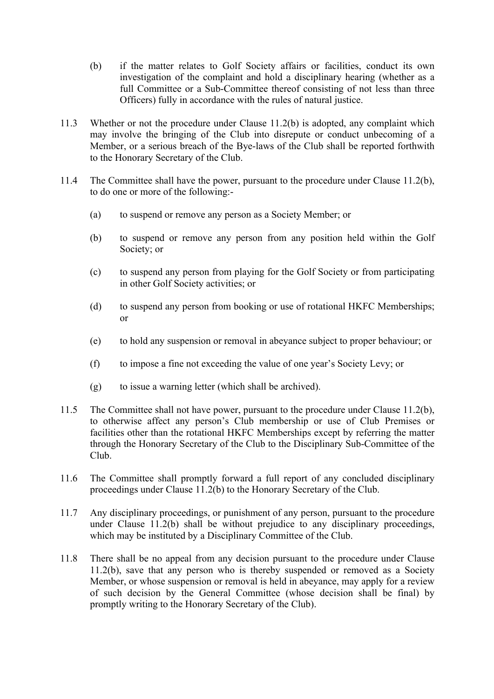- (b) if the matter relates to Golf Society affairs or facilities, conduct its own investigation of the complaint and hold a disciplinary hearing (whether as a full Committee or a Sub-Committee thereof consisting of not less than three Officers) fully in accordance with the rules of natural justice.
- 11.3 Whether or not the procedure under Clause 11.2(b) is adopted, any complaint which may involve the bringing of the Club into disrepute or conduct unbecoming of a Member, or a serious breach of the Bye-laws of the Club shall be reported forthwith to the Honorary Secretary of the Club.
- 11.4 The Committee shall have the power, pursuant to the procedure under Clause 11.2(b), to do one or more of the following:-
	- (a) to suspend or remove any person as a Society Member; or
	- (b) to suspend or remove any person from any position held within the Golf Society; or
	- (c) to suspend any person from playing for the Golf Society or from participating in other Golf Society activities; or
	- (d) to suspend any person from booking or use of rotational HKFC Memberships; or
	- (e) to hold any suspension or removal in abeyance subject to proper behaviour; or
	- (f) to impose a fine not exceeding the value of one year's Society Levy; or
	- (g) to issue a warning letter (which shall be archived).
- 11.5 The Committee shall not have power, pursuant to the procedure under Clause 11.2(b), to otherwise affect any person's Club membership or use of Club Premises or facilities other than the rotational HKFC Memberships except by referring the matter through the Honorary Secretary of the Club to the Disciplinary Sub-Committee of the Club.
- 11.6 The Committee shall promptly forward a full report of any concluded disciplinary proceedings under Clause 11.2(b) to the Honorary Secretary of the Club.
- 11.7 Any disciplinary proceedings, or punishment of any person, pursuant to the procedure under Clause 11.2(b) shall be without prejudice to any disciplinary proceedings, which may be instituted by a Disciplinary Committee of the Club.
- 11.8 There shall be no appeal from any decision pursuant to the procedure under Clause 11.2(b), save that any person who is thereby suspended or removed as a Society Member, or whose suspension or removal is held in abeyance, may apply for a review of such decision by the General Committee (whose decision shall be final) by promptly writing to the Honorary Secretary of the Club).